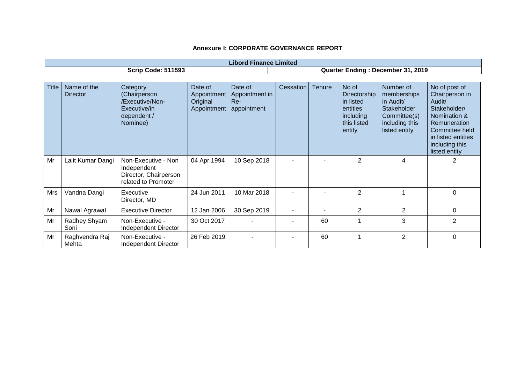| <b>Libord Finance Limited</b> |                                |                                                                                        |                                                   |                                                 |                                   |        |                                                                                      |                                                                                                         |                                                                                                                                                                      |
|-------------------------------|--------------------------------|----------------------------------------------------------------------------------------|---------------------------------------------------|-------------------------------------------------|-----------------------------------|--------|--------------------------------------------------------------------------------------|---------------------------------------------------------------------------------------------------------|----------------------------------------------------------------------------------------------------------------------------------------------------------------------|
| <b>Scrip Code: 511593</b>     |                                |                                                                                        |                                                   |                                                 | Quarter Ending: December 31, 2019 |        |                                                                                      |                                                                                                         |                                                                                                                                                                      |
|                               |                                |                                                                                        |                                                   |                                                 |                                   |        |                                                                                      |                                                                                                         |                                                                                                                                                                      |
| <b>Title</b>                  | Name of the<br><b>Director</b> | Category<br>(Chairperson<br>/Executive/Non-<br>Executive/in<br>dependent /<br>Nominee) | Date of<br>Appointment<br>Original<br>Appointment | Date of<br>Appointment in<br>Re-<br>appointment | Cessation                         | Tenure | No of<br>Directorship<br>in listed<br>entities<br>including<br>this listed<br>entity | Number of<br>memberships<br>in Audit/<br>Stakeholder<br>Committee(s)<br>including this<br>listed entity | No of post of<br>Chairperson in<br>Audit/<br>Stakeholder/<br>Nomination &<br>Remuneration<br>Committee held<br>in listed entities<br>including this<br>listed entity |
| Mr                            | Lalit Kumar Dangi              | Non-Executive - Non<br>Independent<br>Director, Chairperson<br>related to Promoter     | 04 Apr 1994                                       | 10 Sep 2018                                     |                                   |        | $\overline{2}$                                                                       | 4                                                                                                       | $\overline{2}$                                                                                                                                                       |
| Mrs                           | Vandna Dangi                   | Executive<br>Director, MD                                                              | 24 Jun 2011                                       | 10 Mar 2018                                     |                                   |        | $\overline{2}$                                                                       |                                                                                                         | $\Omega$                                                                                                                                                             |
| Mr                            | Nawal Agrawal                  | <b>Executive Director</b>                                                              | 12 Jan 2006                                       | 30 Sep 2019                                     |                                   |        | $\overline{2}$                                                                       | $\overline{2}$                                                                                          | 0                                                                                                                                                                    |
| Mr                            | Radhey Shyam<br>Soni           | Non-Executive -<br>Independent Director                                                | 30 Oct 2017                                       |                                                 |                                   | 60     | 1                                                                                    | 3                                                                                                       | $\overline{2}$                                                                                                                                                       |
| Mr                            | Raghvendra Raj<br>Mehta        | Non-Executive -<br>Independent Director                                                | 26 Feb 2019                                       |                                                 |                                   | 60     | 1                                                                                    | $\overline{2}$                                                                                          | 0                                                                                                                                                                    |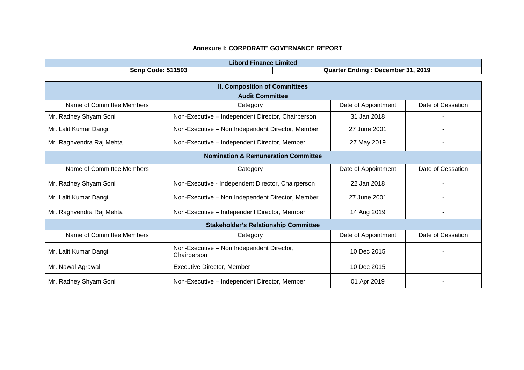| .ibord<br>·ınance<br>⊧Limited            |                                           |  |  |  |
|------------------------------------------|-------------------------------------------|--|--|--|
| 1593<br><b>Scrip</b><br>Code<br>יטט<br>. | 2019<br>December 31<br>Quarter<br>_ndinc_ |  |  |  |

| <b>II. Composition of Committees</b>           |                                                          |                     |                   |  |  |  |
|------------------------------------------------|----------------------------------------------------------|---------------------|-------------------|--|--|--|
| <b>Audit Committee</b>                         |                                                          |                     |                   |  |  |  |
| Name of Committee Members                      | Category                                                 | Date of Appointment | Date of Cessation |  |  |  |
| Mr. Radhey Shyam Soni                          | Non-Executive - Independent Director, Chairperson        | 31 Jan 2018         |                   |  |  |  |
| Mr. Lalit Kumar Dangi                          | Non-Executive - Non Independent Director, Member         | 27 June 2001        |                   |  |  |  |
| Mr. Raghvendra Raj Mehta                       | Non-Executive - Independent Director, Member             | 27 May 2019         |                   |  |  |  |
| <b>Nomination &amp; Remuneration Committee</b> |                                                          |                     |                   |  |  |  |
| Name of Committee Members                      | Category                                                 | Date of Appointment | Date of Cessation |  |  |  |
| Mr. Radhey Shyam Soni                          | Non-Executive - Independent Director, Chairperson        | 22 Jan 2018         |                   |  |  |  |
| Mr. Lalit Kumar Dangi                          | Non-Executive - Non Independent Director, Member         | 27 June 2001        |                   |  |  |  |
| Mr. Raghvendra Raj Mehta                       | Non-Executive - Independent Director, Member             | 14 Aug 2019         |                   |  |  |  |
| <b>Stakeholder's Relationship Committee</b>    |                                                          |                     |                   |  |  |  |
| Name of Committee Members                      | Category                                                 | Date of Appointment | Date of Cessation |  |  |  |
| Mr. Lalit Kumar Dangi                          | Non-Executive - Non Independent Director,<br>Chairperson | 10 Dec 2015         |                   |  |  |  |
| Mr. Nawal Agrawal                              | <b>Executive Director, Member</b>                        | 10 Dec 2015         |                   |  |  |  |
| Mr. Radhey Shyam Soni                          | Non-Executive - Independent Director, Member             | 01 Apr 2019         |                   |  |  |  |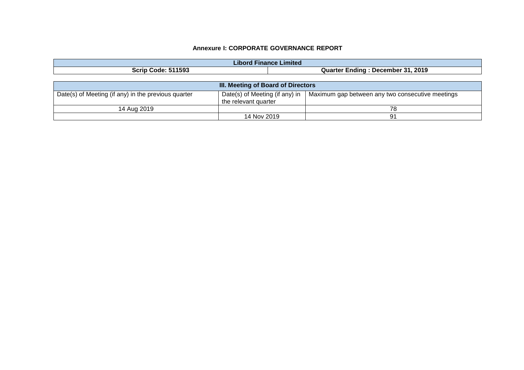| <b>Libord Finance Limited</b>                       |                                                        |                                                  |  |  |  |
|-----------------------------------------------------|--------------------------------------------------------|--------------------------------------------------|--|--|--|
| <b>Scrip Code: 511593</b>                           |                                                        | Quarter Ending: December 31, 2019                |  |  |  |
|                                                     |                                                        |                                                  |  |  |  |
| III. Meeting of Board of Directors                  |                                                        |                                                  |  |  |  |
| Date(s) of Meeting (if any) in the previous quarter | Date(s) of Meeting (if any) in<br>the relevant quarter | Maximum gap between any two consecutive meetings |  |  |  |
| 14 Aug 2019                                         |                                                        | 78                                               |  |  |  |
|                                                     | 14 Nov 2019                                            | 91                                               |  |  |  |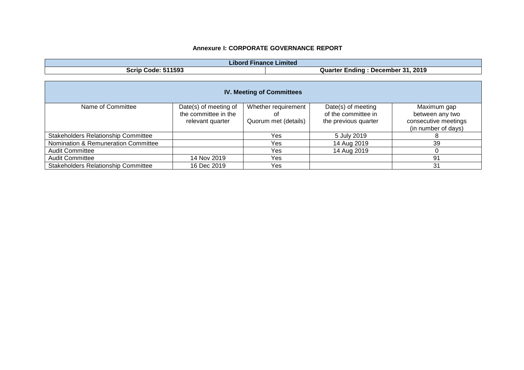| Libord<br><b>Finance Limited</b> |                                          |  |  |  |
|----------------------------------|------------------------------------------|--|--|--|
| 511593<br><b>Scrip Code: 51</b>  | 31,2019<br>:ndınq<br>December<br>Quarter |  |  |  |

| <b>IV. Meeting of Committees</b>           |                       |                      |                      |                      |  |  |
|--------------------------------------------|-----------------------|----------------------|----------------------|----------------------|--|--|
| Name of Committee                          | Date(s) of meeting of | Whether requirement  | Date(s) of meeting   | Maximum gap          |  |  |
|                                            | the committee in the  |                      | of the committee in  | between any two      |  |  |
|                                            | relevant quarter      | Quorum met (details) | the previous quarter | consecutive meetings |  |  |
|                                            |                       |                      |                      | (in number of days)  |  |  |
| <b>Stakeholders Relationship Committee</b> |                       | Yes                  | 5 July 2019          |                      |  |  |
| Nomination & Remuneration Committee        |                       | Yes                  | 14 Aug 2019          | 39                   |  |  |
| <b>Audit Committee</b>                     |                       | Yes                  | 14 Aug 2019          |                      |  |  |
| <b>Audit Committee</b>                     | 14 Nov 2019           | Yes                  |                      | 91                   |  |  |
| <b>Stakeholders Relationship Committee</b> | 16 Dec 2019           | Yes                  |                      | 31                   |  |  |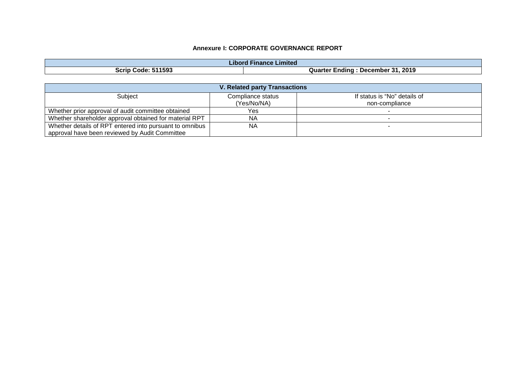| .<br>Finance Limited<br>⊿ibord |                                           |  |  |  |
|--------------------------------|-------------------------------------------|--|--|--|
| 511593<br>Scrip<br>.Code       | . 2019<br>:ndınc<br>Quarter<br>. December |  |  |  |

| <b>V. Related party Transactions</b>                    |                   |                              |  |  |  |
|---------------------------------------------------------|-------------------|------------------------------|--|--|--|
| Subject                                                 | Compliance status | If status is "No" details of |  |  |  |
|                                                         | (Yes/No/NA)       | non-compliance               |  |  |  |
| Whether prior approval of audit committee obtained      | Yes.              |                              |  |  |  |
| Whether shareholder approval obtained for material RPT  | <b>NA</b>         |                              |  |  |  |
| Whether details of RPT entered into pursuant to omnibus | <b>NA</b>         |                              |  |  |  |
| approval have been reviewed by Audit Committee          |                   |                              |  |  |  |